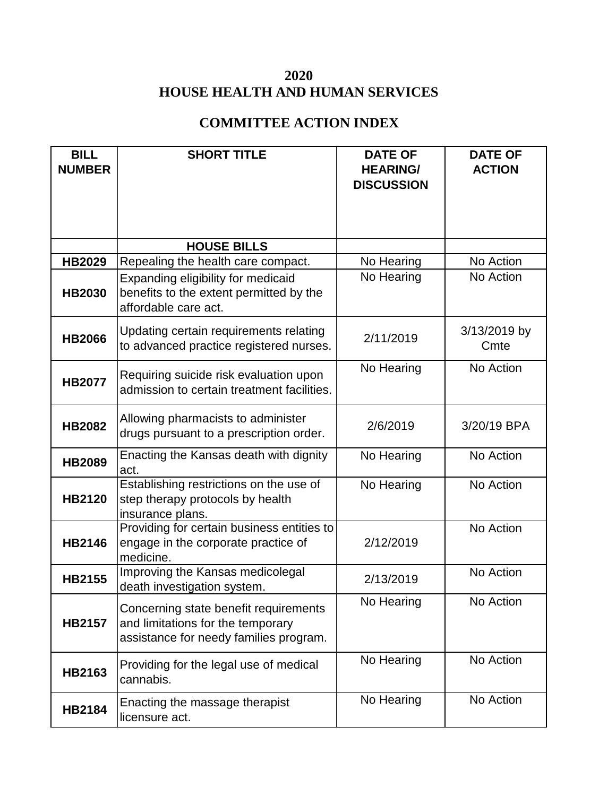## **2020 HOUSE HEALTH AND HUMAN SERVICES**

## **COMMITTEE ACTION INDEX**

| <b>BILL</b><br><b>NUMBER</b> | <b>SHORT TITLE</b>                                                                                                   | <b>DATE OF</b><br><b>HEARING/</b><br><b>DISCUSSION</b> | <b>DATE OF</b><br><b>ACTION</b> |
|------------------------------|----------------------------------------------------------------------------------------------------------------------|--------------------------------------------------------|---------------------------------|
|                              | <b>HOUSE BILLS</b>                                                                                                   |                                                        |                                 |
| <b>HB2029</b>                | Repealing the health care compact.                                                                                   | No Hearing                                             | No Action                       |
| <b>HB2030</b>                | Expanding eligibility for medicaid<br>benefits to the extent permitted by the<br>affordable care act.                | No Hearing                                             | No Action                       |
| <b>HB2066</b>                | Updating certain requirements relating<br>to advanced practice registered nurses.                                    | 2/11/2019                                              | 3/13/2019 by<br>Cmte            |
| <b>HB2077</b>                | Requiring suicide risk evaluation upon<br>admission to certain treatment facilities.                                 | No Hearing                                             | No Action                       |
| <b>HB2082</b>                | Allowing pharmacists to administer<br>drugs pursuant to a prescription order.                                        | 2/6/2019                                               | 3/20/19 BPA                     |
| <b>HB2089</b>                | Enacting the Kansas death with dignity<br>act.                                                                       | No Hearing                                             | No Action                       |
| <b>HB2120</b>                | Establishing restrictions on the use of<br>step therapy protocols by health<br>insurance plans.                      | No Hearing                                             | No Action                       |
| <b>HB2146</b>                | Providing for certain business entities to<br>engage in the corporate practice of<br>medicine.                       | 2/12/2019                                              | No Action                       |
| <b>HB2155</b>                | Improving the Kansas medicolegal<br>death investigation system.                                                      | 2/13/2019                                              | No Action                       |
| <b>HB2157</b>                | Concerning state benefit requirements<br>and limitations for the temporary<br>assistance for needy families program. | No Hearing                                             | No Action                       |
| <b>HB2163</b>                | Providing for the legal use of medical<br>cannabis.                                                                  | No Hearing                                             | No Action                       |
| <b>HB2184</b>                | Enacting the massage therapist<br>licensure act.                                                                     | No Hearing                                             | No Action                       |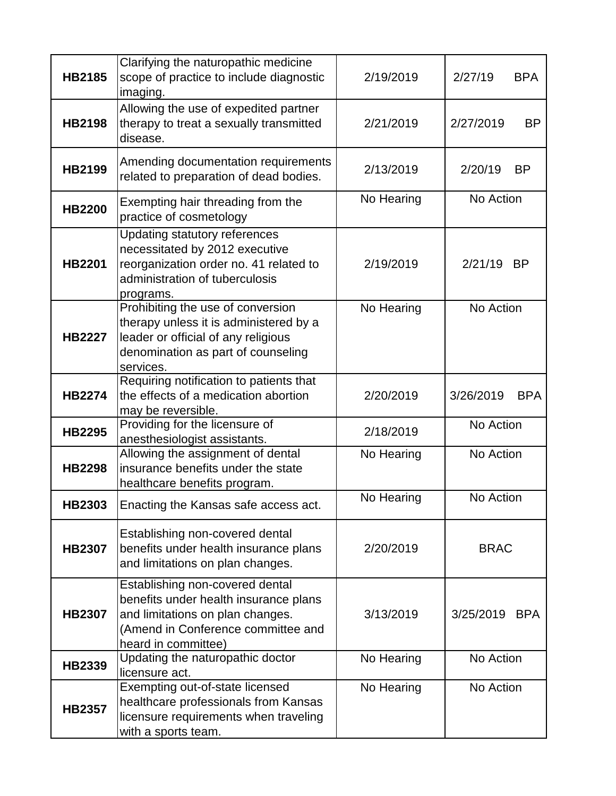| <b>HB2185</b> | Clarifying the naturopathic medicine<br>scope of practice to include diagnostic<br>imaging.                                                                               | 2/19/2019  | 2/27/19<br><b>BPA</b>   |
|---------------|---------------------------------------------------------------------------------------------------------------------------------------------------------------------------|------------|-------------------------|
| <b>HB2198</b> | Allowing the use of expedited partner<br>therapy to treat a sexually transmitted<br>disease.                                                                              | 2/21/2019  | <b>BP</b><br>2/27/2019  |
| <b>HB2199</b> | Amending documentation requirements<br>related to preparation of dead bodies.                                                                                             | 2/13/2019  | 2/20/19<br><b>BP</b>    |
| <b>HB2200</b> | Exempting hair threading from the<br>practice of cosmetology                                                                                                              | No Hearing | No Action               |
| <b>HB2201</b> | <b>Updating statutory references</b><br>necessitated by 2012 executive<br>reorganization order no. 41 related to<br>administration of tuberculosis<br>programs.           | 2/19/2019  | 2/21/19<br><b>BP</b>    |
| <b>HB2227</b> | Prohibiting the use of conversion<br>therapy unless it is administered by a<br>leader or official of any religious<br>denomination as part of counseling<br>services.     | No Hearing | No Action               |
| <b>HB2274</b> | Requiring notification to patients that<br>the effects of a medication abortion<br>may be reversible.                                                                     | 2/20/2019  | 3/26/2019<br><b>BPA</b> |
| <b>HB2295</b> | Providing for the licensure of<br>anesthesiologist assistants.                                                                                                            | 2/18/2019  | No Action               |
| <b>HB2298</b> | Allowing the assignment of dental<br>insurance benefits under the state<br>healthcare benefits program.                                                                   | No Hearing | No Action               |
| <b>HB2303</b> | Enacting the Kansas safe access act.                                                                                                                                      | No Hearing | No Action               |
| <b>HB2307</b> | Establishing non-covered dental<br>benefits under health insurance plans<br>and limitations on plan changes.                                                              | 2/20/2019  | <b>BRAC</b>             |
| <b>HB2307</b> | Establishing non-covered dental<br>benefits under health insurance plans<br>and limitations on plan changes.<br>(Amend in Conference committee and<br>heard in committee) | 3/13/2019  | 3/25/2019 BPA           |
| <b>HB2339</b> | Updating the naturopathic doctor<br>licensure act.                                                                                                                        | No Hearing | No Action               |
| <b>HB2357</b> | Exempting out-of-state licensed<br>healthcare professionals from Kansas<br>licensure requirements when traveling<br>with a sports team.                                   | No Hearing | No Action               |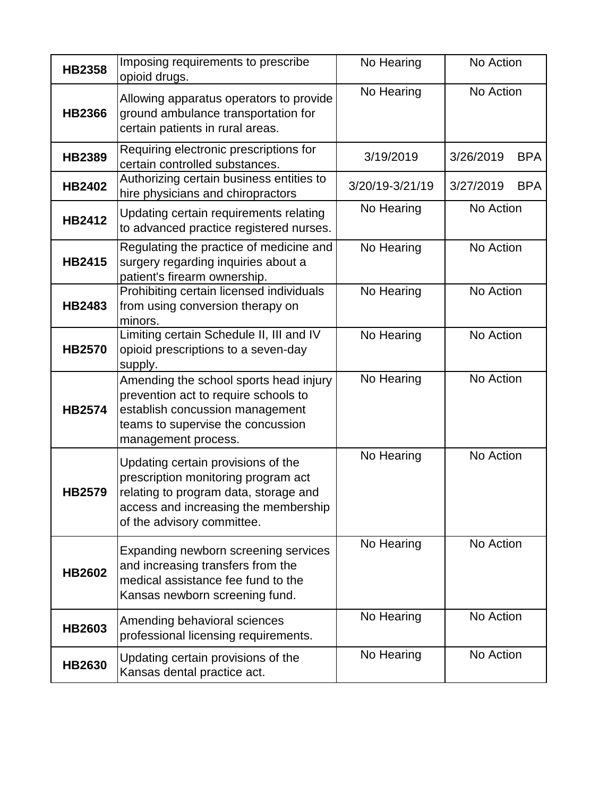| <b>HB2358</b> | Imposing requirements to prescribe<br>opioid drugs.                                                                                                                                      | No Hearing      | No Action               |
|---------------|------------------------------------------------------------------------------------------------------------------------------------------------------------------------------------------|-----------------|-------------------------|
| <b>HB2366</b> | Allowing apparatus operators to provide<br>ground ambulance transportation for<br>certain patients in rural areas.                                                                       | No Hearing      | No Action               |
| <b>HB2389</b> | Requiring electronic prescriptions for<br>certain controlled substances.                                                                                                                 | 3/19/2019       | 3/26/2019<br><b>BPA</b> |
| <b>HB2402</b> | Authorizing certain business entities to<br>hire physicians and chiropractors                                                                                                            | 3/20/19-3/21/19 | 3/27/2019<br><b>BPA</b> |
| <b>HB2412</b> | Updating certain requirements relating<br>to advanced practice registered nurses.                                                                                                        | No Hearing      | No Action               |
| <b>HB2415</b> | Regulating the practice of medicine and<br>surgery regarding inquiries about a<br>patient's firearm ownership.                                                                           | No Hearing      | No Action               |
| <b>HB2483</b> | Prohibiting certain licensed individuals<br>from using conversion therapy on<br>minors.                                                                                                  | No Hearing      | No Action               |
| <b>HB2570</b> | Limiting certain Schedule II, III and IV<br>opioid prescriptions to a seven-day<br>supply.                                                                                               | No Hearing      | No Action               |
| <b>HB2574</b> | Amending the school sports head injury<br>prevention act to require schools to<br>establish concussion management<br>teams to supervise the concussion<br>management process.            | No Hearing      | No Action               |
| HB2579        | Updating certain provisions of the<br>prescription monitoring program act<br>relating to program data, storage and<br>access and increasing the membership<br>of the advisory committee. | No Hearing      | No Action               |
| <b>HB2602</b> | Expanding newborn screening services<br>and increasing transfers from the<br>medical assistance fee fund to the<br>Kansas newborn screening fund.                                        | No Hearing      | No Action               |
| <b>HB2603</b> | Amending behavioral sciences<br>professional licensing requirements.                                                                                                                     | No Hearing      | No Action               |
| <b>HB2630</b> | Updating certain provisions of the<br>Kansas dental practice act.                                                                                                                        | No Hearing      | No Action               |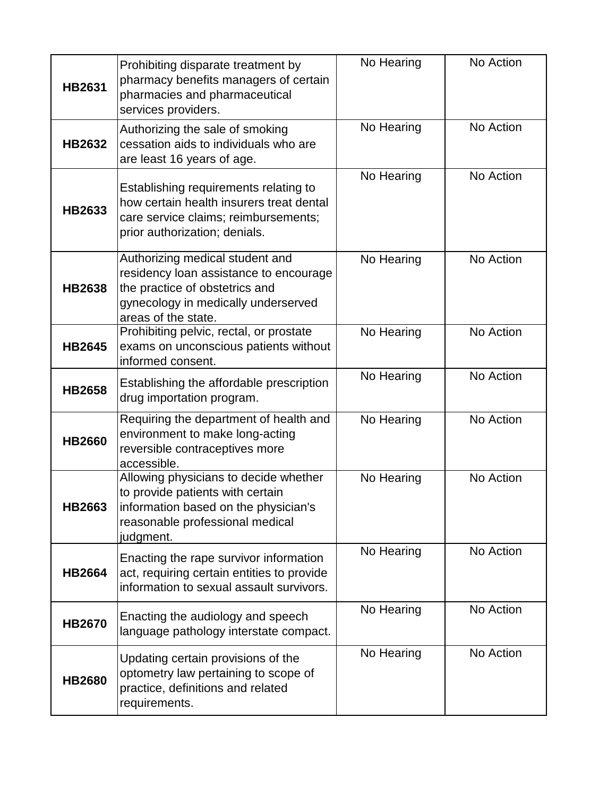| <b>HB2631</b> | Prohibiting disparate treatment by<br>pharmacy benefits managers of certain<br>pharmacies and pharmaceutical<br>services providers.                                       | No Hearing | No Action |
|---------------|---------------------------------------------------------------------------------------------------------------------------------------------------------------------------|------------|-----------|
| <b>HB2632</b> | Authorizing the sale of smoking<br>cessation aids to individuals who are<br>are least 16 years of age.                                                                    | No Hearing | No Action |
| <b>HB2633</b> | Establishing requirements relating to<br>how certain health insurers treat dental<br>care service claims; reimbursements;<br>prior authorization; denials.                | No Hearing | No Action |
| <b>HB2638</b> | Authorizing medical student and<br>residency loan assistance to encourage<br>the practice of obstetrics and<br>gynecology in medically underserved<br>areas of the state. | No Hearing | No Action |
| <b>HB2645</b> | Prohibiting pelvic, rectal, or prostate<br>exams on unconscious patients without<br>informed consent.                                                                     | No Hearing | No Action |
| <b>HB2658</b> | Establishing the affordable prescription<br>drug importation program.                                                                                                     | No Hearing | No Action |
| <b>HB2660</b> | Requiring the department of health and<br>environment to make long-acting<br>reversible contraceptives more<br>accessible.                                                | No Hearing | No Action |
| <b>HB2663</b> | Allowing physicians to decide whether<br>to provide patients with certain<br>information based on the physician's<br>reasonable professional medical<br>judgment.         | No Hearing | No Action |
| <b>HB2664</b> | Enacting the rape survivor information<br>act, requiring certain entities to provide<br>information to sexual assault survivors.                                          | No Hearing | No Action |
| <b>HB2670</b> | Enacting the audiology and speech<br>language pathology interstate compact.                                                                                               | No Hearing | No Action |
| <b>HB2680</b> | Updating certain provisions of the<br>optometry law pertaining to scope of<br>practice, definitions and related<br>requirements.                                          | No Hearing | No Action |